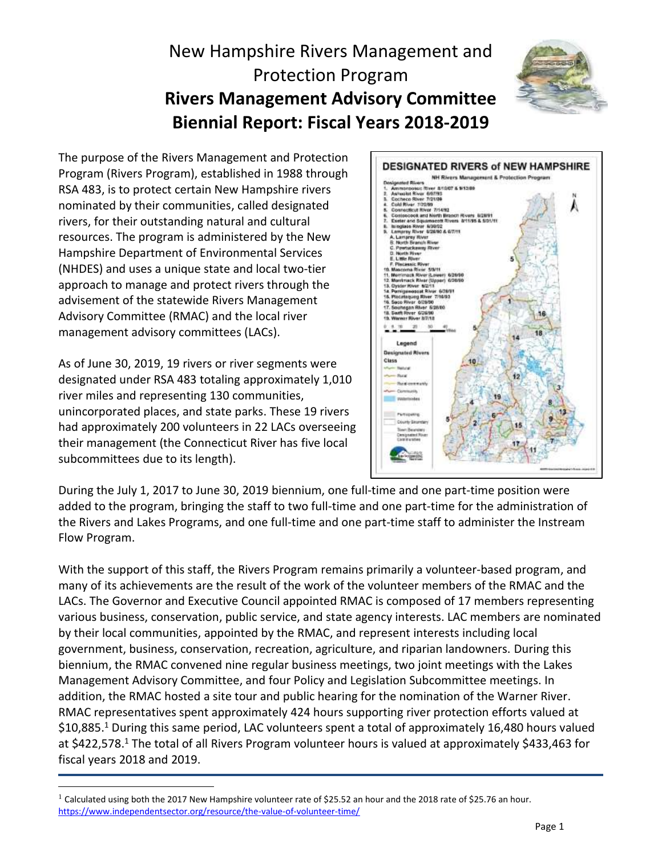# New Hampshire Rivers Management and Protection Program **Rivers Management Advisory Committee Biennial Report: Fiscal Years 2018-2019**



The purpose of the Rivers Management and Protection Program (Rivers Program), established in 1988 through RSA 483, is to protect certain New Hampshire rivers nominated by their communities, called designated rivers, for their outstanding natural and cultural resources. The program is administered by the New Hampshire Department of Environmental Services (NHDES) and uses a unique state and local two-tier approach to manage and protect rivers through the advisement of the statewide Rivers Management Advisory Committee (RMAC) and the local river management advisory committees (LACs).

As of June 30, 2019, 19 rivers or river segments were designated under RSA 483 totaling approximately 1,010 river miles and representing 130 communities, unincorporated places, and state parks. These 19 rivers had approximately 200 volunteers in 22 LACs overseeing their management (the Connecticut River has five local subcommittees due to its length).

 $\overline{a}$ 



During the July 1, 2017 to June 30, 2019 biennium, one full-time and one part-time position were added to the program, bringing the staff to two full-time and one part-time for the administration of the Rivers and Lakes Programs, and one full-time and one part-time staff to administer the Instream Flow Program.

With the support of this staff, the Rivers Program remains primarily a volunteer-based program, and many of its achievements are the result of the work of the volunteer members of the RMAC and the LACs. The Governor and Executive Council appointed RMAC is composed of 17 members representing various business, conservation, public service, and state agency interests. LAC members are nominated by their local communities, appointed by the RMAC, and represent interests including local government, business, conservation, recreation, agriculture, and riparian landowners. During this biennium, the RMAC convened nine regular business meetings, two joint meetings with the Lakes Management Advisory Committee, and four Policy and Legislation Subcommittee meetings. In addition, the RMAC hosted a site tour and public hearing for the nomination of the Warner River. RMAC representatives spent approximately 424 hours supporting river protection efforts valued at \$10,885. <sup>1</sup> During this same period, LAC volunteers spent a total of approximately 16,480 hours valued at \$422,578.<sup>1</sup> The total of all Rivers Program volunteer hours is valued at approximately \$433,463 for fiscal years 2018 and 2019.

<sup>&</sup>lt;sup>1</sup> Calculated using both the 2017 New Hampshire volunteer rate of \$25.52 an hour and the 2018 rate of \$25.76 an hour. <https://www.independentsector.org/resource/the-value-of-volunteer-time/>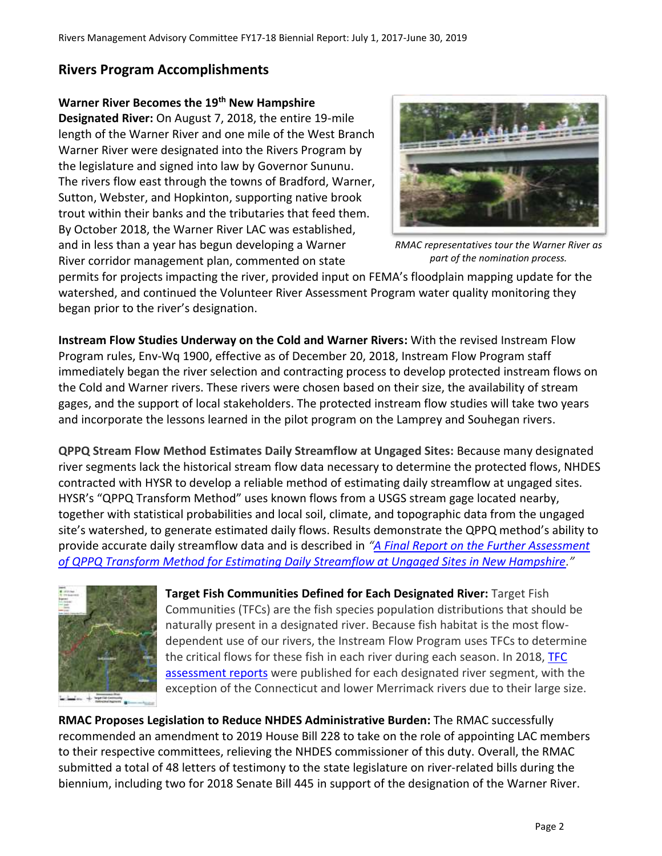## **Rivers Program Accomplishments**

### **Warner River Becomes the 19th New Hampshire**

**Designated River:** On August 7, 2018, the entire 19-mile length of the Warner River and one mile of the West Branch Warner River were designated into the Rivers Program by the legislature and signed into law by Governor Sununu. The rivers flow east through the towns of Bradford, Warner, Sutton, Webster, and Hopkinton, supporting native brook trout within their banks and the tributaries that feed them. By October 2018, the Warner River LAC was established, and in less than a year has begun developing a Warner River corridor management plan, commented on state



*RMAC representatives tour the Warner River as part of the nomination process.*

permits for projects impacting the river, provided input on FEMA's floodplain mapping update for the watershed, and continued the Volunteer River Assessment Program water quality monitoring they began prior to the river's designation.

**Instream Flow Studies Underway on the Cold and Warner Rivers:** With the revised Instream Flow Program rules, Env-Wq 1900, effective as of December 20, 2018, Instream Flow Program staff immediately began the river selection and contracting process to develop protected instream flows on the Cold and Warner rivers. These rivers were chosen based on their size, the availability of stream gages, and the support of local stakeholders. The protected instream flow studies will take two years and incorporate the lessons learned in the pilot program on the Lamprey and Souhegan rivers.

**QPPQ Stream Flow Method Estimates Daily Streamflow at Ungaged Sites:** Because many designated river segments lack the historical stream flow data necessary to determine the protected flows, NHDES contracted with HYSR to develop a reliable method of estimating daily streamflow at ungaged sites. HYSR's "QPPQ Transform Method" uses known flows from a USGS stream gage located nearby, together with statistical probabilities and local soil, climate, and topographic data from the ungaged site's watershed, to generate estimated daily flows. Results demonstrate the QPPQ method's ability to provide accurate daily streamflow data and is described in *"[A Final Report on the Further Assessment](https://www4.des.state.nh.us/blogs/rmac/wp-content/uploads/HYSR-Final-Report-for-NHDES-8-26-2018.pdf)  [of QPPQ Transform Method for Estimating Daily Streamflow at Ungaged Sites in New Hampshire](https://www4.des.state.nh.us/blogs/rmac/wp-content/uploads/HYSR-Final-Report-for-NHDES-8-26-2018.pdf)."*



**Target Fish Communities Defined for Each Designated River:** Target Fish Communities (TFCs) are the fish species population distributions that should be naturally present in a designated river. Because fish habitat is the most flowdependent use of our rivers, the Instream Flow Program uses TFCs to determine the critical flows for these fish in each river during each season. In 2018, [TFC](https://www4.des.state.nh.us/blogs/rmac/?page_id=3429)  [assessment reports](https://www4.des.state.nh.us/blogs/rmac/?page_id=3429) were published for each designated river segment, with the exception of the Connecticut and lower Merrimack rivers due to their large size.

**RMAC Proposes Legislation to Reduce NHDES Administrative Burden:** The RMAC successfully recommended an amendment to 2019 House Bill 228 to take on the role of appointing LAC members to their respective committees, relieving the NHDES commissioner of this duty. Overall, the RMAC submitted a total of 48 letters of testimony to the state legislature on river-related bills during the biennium, including two for 2018 Senate Bill 445 in support of the designation of the Warner River.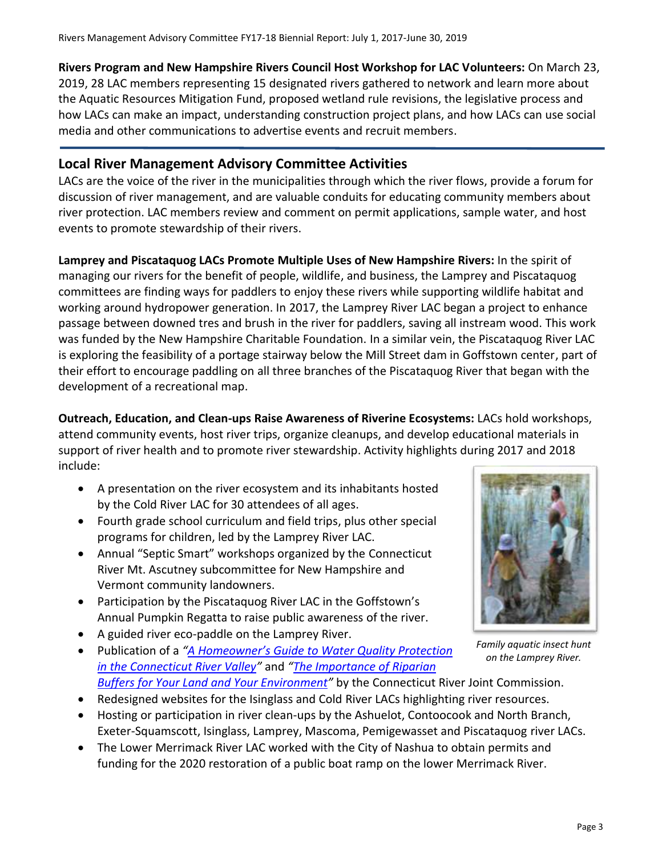**Rivers Program and New Hampshire Rivers Council Host Workshop for LAC Volunteers:** On March 23, 2019, 28 LAC members representing 15 designated rivers gathered to network and learn more about the Aquatic Resources Mitigation Fund, proposed wetland rule revisions, the legislative process and how LACs can make an impact, understanding construction project plans, and how LACs can use social media and other communications to advertise events and recruit members.

#### **Local River Management Advisory Committee Activities**

LACs are the voice of the river in the municipalities through which the river flows, provide a forum for discussion of river management, and are valuable conduits for educating community members about river protection. LAC members review and comment on permit applications, sample water, and host events to promote stewardship of their rivers.

**Lamprey and Piscataquog LACs Promote Multiple Uses of New Hampshire Rivers:** In the spirit of managing our rivers for the benefit of people, wildlife, and business, the Lamprey and Piscataquog committees are finding ways for paddlers to enjoy these rivers while supporting wildlife habitat and working around hydropower generation. In 2017, the Lamprey River LAC began a project to enhance passage between downed tres and brush in the river for paddlers, saving all instream wood. This work was funded by the New Hampshire Charitable Foundation. In a similar vein, the Piscataquog River LAC is exploring the feasibility of a portage stairway below the Mill Street dam in Goffstown center, part of their effort to encourage paddling on all three branches of the Piscataquog River that began with the development of a recreational map.

**Outreach, Education, and Clean-ups Raise Awareness of Riverine Ecosystems:** LACs hold workshops, attend community events, host river trips, organize cleanups, and develop educational materials in support of river health and to promote river stewardship. Activity highlights during 2017 and 2018 include:

- A presentation on the river ecosystem and its inhabitants hosted by the Cold River LAC for 30 attendees of all ages.
- Fourth grade school curriculum and field trips, plus other special programs for children, led by the Lamprey River LAC.
- Annual "Septic Smart" workshops organized by the Connecticut River Mt. Ascutney subcommittee for New Hampshire and Vermont community landowners.
- Participation by the Piscataquog River LAC in the Goffstown's Annual Pumpkin Regatta to raise public awareness of the river.
- A guided river eco-paddle on the Lamprey River.
- Publication of a *"A Homeowner's Guide to [Water Quality Protection](http://www.crjc.org/wp-content/uploads/2018/10/homeguide-07162018R.pdf) [in the Connecticut River Valley](http://www.crjc.org/wp-content/uploads/2018/10/homeguide-07162018R.pdf)"* and *"[The Importance of Riparian](http://www.crjc.org/wp-content/uploads/2018/12/living-with-the-river-buffer-flyer-R.pdf)  Buffers [for Your Land and Your Environment](http://www.crjc.org/wp-content/uploads/2018/12/living-with-the-river-buffer-flyer-R.pdf)"* by the Connecticut River Joint Commission.
- Redesigned websites for the Isinglass and Cold River LACs highlighting river resources.
- Hosting or participation in river clean-ups by the Ashuelot, Contoocook and North Branch, Exeter-Squamscott, Isinglass, Lamprey, Mascoma, Pemigewasset and Piscataquog river LACs.
- The Lower Merrimack River LAC worked with the City of Nashua to obtain permits and funding for the 2020 restoration of a public boat ramp on the lower Merrimack River.



*Family aquatic insect hunt on the Lamprey River.*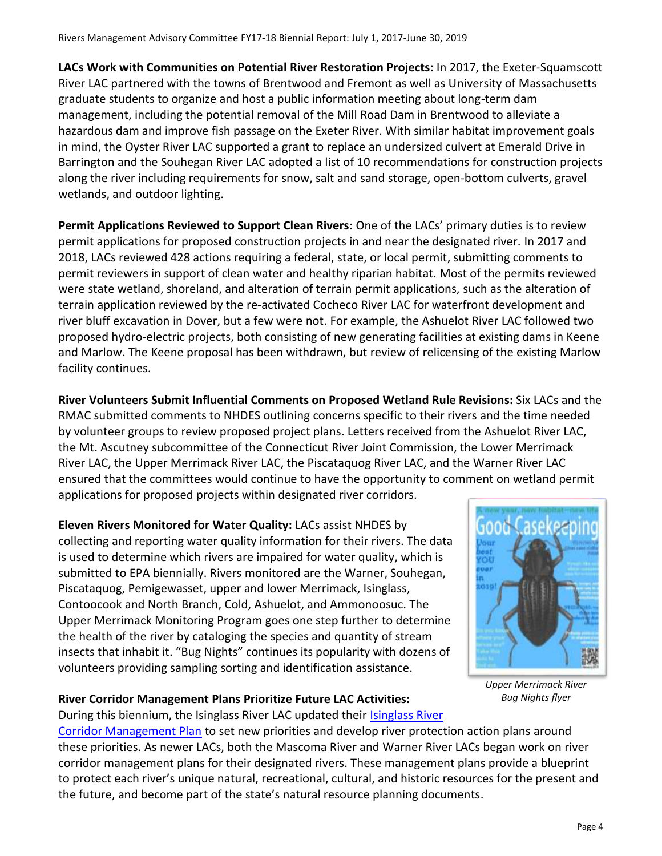**LACs Work with Communities on Potential River Restoration Projects:** In 2017, the Exeter-Squamscott River LAC partnered with the towns of Brentwood and Fremont as well as University of Massachusetts graduate students to organize and host a public information meeting about long-term dam management, including the potential removal of the Mill Road Dam in Brentwood to alleviate a hazardous dam and improve fish passage on the Exeter River. With similar habitat improvement goals in mind, the Oyster River LAC supported a grant to replace an undersized culvert at Emerald Drive in Barrington and the Souhegan River LAC adopted a list of 10 recommendations for construction projects along the river including requirements for snow, salt and sand storage, open-bottom culverts, gravel wetlands, and outdoor lighting.

**Permit Applications Reviewed to Support Clean Rivers**: One of the LACs' primary duties is to review permit applications for proposed construction projects in and near the designated river. In 2017 and 2018, LACs reviewed 428 actions requiring a federal, state, or local permit, submitting comments to permit reviewers in support of clean water and healthy riparian habitat. Most of the permits reviewed were state wetland, shoreland, and alteration of terrain permit applications, such as the alteration of terrain application reviewed by the re-activated Cocheco River LAC for waterfront development and river bluff excavation in Dover, but a few were not. For example, the Ashuelot River LAC followed two proposed hydro-electric projects, both consisting of new generating facilities at existing dams in Keene and Marlow. The Keene proposal has been withdrawn, but review of relicensing of the existing Marlow facility continues.

**River Volunteers Submit Influential Comments on Proposed Wetland Rule Revisions:** Six LACs and the RMAC submitted comments to NHDES outlining concerns specific to their rivers and the time needed by volunteer groups to review proposed project plans. Letters received from the Ashuelot River LAC, the Mt. Ascutney subcommittee of the Connecticut River Joint Commission, the Lower Merrimack River LAC, the Upper Merrimack River LAC, the Piscataquog River LAC, and the Warner River LAC ensured that the committees would continue to have the opportunity to comment on wetland permit applications for proposed projects within designated river corridors.

**Eleven Rivers Monitored for Water Quality:** LACs assist NHDES by collecting and reporting water quality information for their rivers. The data is used to determine which rivers are impaired for water quality, which is submitted to EPA biennially. Rivers monitored are the Warner, Souhegan, Piscataquog, Pemigewasset, upper and lower Merrimack, Isinglass, Contoocook and North Branch, Cold, Ashuelot, and Ammonoosuc. The Upper Merrimack Monitoring Program goes one step further to determine the health of the river by cataloging the species and quantity of stream insects that inhabit it. "Bug Nights" continues its popularity with dozens of volunteers providing sampling sorting and identification assistance.



*Upper Merrimack River Bug Nights flyer*

#### **River Corridor Management Plans Prioritize Future LAC Activities:**

During this biennium, the Isinglass River LAC updated their [Isinglass River](https://www4.des.state.nh.us/blogs/rivers/wp-content/uploads/Isinglass-River-Management-Plan-2018.pdf) 

[Corridor Management Plan](https://www4.des.state.nh.us/blogs/rivers/wp-content/uploads/Isinglass-River-Management-Plan-2018.pdf) to set new priorities and develop river protection action plans around these priorities. As newer LACs, both the Mascoma River and Warner River LACs began work on river corridor management plans for their designated rivers. These management plans provide a blueprint to protect each river's unique natural, recreational, cultural, and historic resources for the present and the future, and become part of the state's natural resource planning documents.